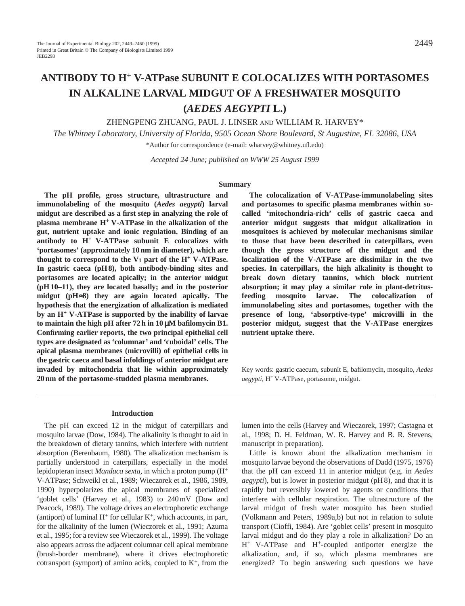# **ANTIBODY TO H+ V-ATPase SUBUNIT E COLOCALIZES WITH PORTASOMES IN ALKALINE LARVAL MIDGUT OF A FRESHWATER MOSQUITO (***AEDES AEGYPTI* **L.)**

ZHENGPENG ZHUANG, PAUL J. LINSER AND WILLIAM R. HARVEY\*

*The Whitney Laboratory, University of Florida, 9505 Ocean Shore Boulevard, St Augustine, FL 32086, USA* \*Author for correspondence (e-mail: wharvey@whitney.ufl.edu)

*Accepted 24 June; published on WWW 25 August 1999* 

#### **Summary**

**The pH profile, gross structure, ultrastructure and immunolabeling of the mosquito (***Aedes aegypti***) larval midgut are described as a first step in analyzing the role of plasma membrane H+ V-ATPase in the alkalization of the gut, nutrient uptake and ionic regulation. Binding of an antibody to H+ V-ATPase subunit E colocalizes with 'portasomes' (approximately 10 nm in diameter), which are thought to correspond to the**  $V_1$  **part of the**  $H^+$  **V-ATPase. In gastric caeca (pH 8), both antibody-binding sites and portasomes are located apically; in the anterior midgut (pH 10–11), they are located basally; and in the posterior midgut (pH**≈**8) they are again located apically. The hypothesis that the energization of alkalization is mediated by an H+ V-ATPase is supported by the inability of larvae to maintain the high pH after 72 h in 10** µ**M bafilomycin B1. Confirming earlier reports, the two principal epithelial cell types are designated as 'columnar' and 'cuboidal' cells. The apical plasma membranes (microvilli) of epithelial cells in the gastric caeca and basal infoldings of anterior midgut are invaded by mitochondria that lie within approximately 20 nm of the portasome-studded plasma membranes.**

**The colocalization of V-ATPase-immunolabeling sites and portasomes to specific plasma membranes within socalled 'mitochondria-rich' cells of gastric caeca and anterior midgut suggests that midgut alkalization in mosquitoes is achieved by molecular mechanisms similar to those that have been described in caterpillars, even though the gross structure of the midgut and the localization of the V-ATPase are dissimilar in the two species. In caterpillars, the high alkalinity is thought to break down dietary tannins, which block nutrient absorption; it may play a similar role in plant-detritusfeeding mosquito larvae. The colocalization of immunolabeling sites and portasomes, together with the presence of long, 'absorptive-type' microvilli in the posterior midgut, suggest that the V-ATPase energizes nutrient uptake there.**

Key words: gastric caecum, subunit E, bafilomycin, mosquito, *Aedes aegypti*, H+ V-ATPase, portasome, midgut.

#### **Introduction**

The pH can exceed 12 in the midgut of caterpillars and mosquito larvae (Dow, 1984). The alkalinity is thought to aid in the breakdown of dietary tannins, which interfere with nutrient absorption (Berenbaum, 1980). The alkalization mechanism is partially understood in caterpillars, especially in the model lepidopteran insect *Manduca sexta*, in which a proton pump (H+ V-ATPase; Schweikl et al., 1989; Wieczorek et al., 1986, 1989, 1990) hyperpolarizes the apical membranes of specialized 'goblet cells' (Harvey et al., 1983) to 240 mV (Dow and Peacock, 1989). The voltage drives an electrophoretic exchange (antiport) of luminal  $H^+$  for cellular  $K^+$ , which accounts, in part, for the alkalinity of the lumen (Wieczorek et al., 1991; Azuma et al., 1995; for a review see Wieczorek et al., 1999). The voltage also appears across the adjacent columnar cell apical membrane (brush-border membrane), where it drives electrophoretic cotransport (symport) of amino acids, coupled to  $K^+$ , from the lumen into the cells (Harvey and Wieczorek, 1997; Castagna et al., 1998; D. H. Feldman, W. R. Harvey and B. R. Stevens, manuscript in preparation).

Little is known about the alkalization mechanism in mosquito larvae beyond the observations of Dadd (1975, 1976) that the pH can exceed 11 in anterior midgut (e.g. in *Aedes aegypti*), but is lower in posterior midgut (pH 8), and that it is rapidly but reversibly lowered by agents or conditions that interfere with cellular respiration. The ultrastructure of the larval midgut of fresh water mosquito has been studied (Volkmann and Peters, 1989a,b) but not in relation to solute transport (Cioffi, 1984). Are 'goblet cells' present in mosquito larval midgut and do they play a role in alkalization? Do an H+ V-ATPase and H+-coupled antiporter energize the alkalization, and, if so, which plasma membranes are energized? To begin answering such questions we have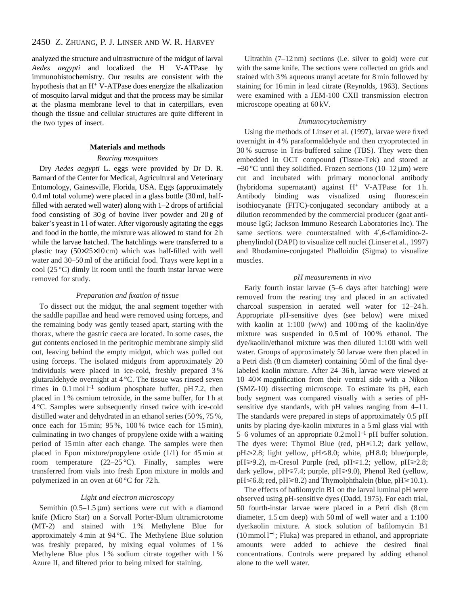analyzed the structure and ultrastructure of the midgut of larval *Aedes aegypti* and localized the H+ V-ATPase by immunohistochemistry. Our results are consistent with the hypothesis that an H+ V-ATPase does energize the alkalization of mosquito larval midgut and that the process may be similar at the plasma membrane level to that in caterpillars, even though the tissue and cellular structures are quite different in the two types of insect.

#### **Materials and methods**

#### *Rearing mosquitoes*

Dry *Aedes aegypti* L. eggs were provided by Dr D. R. Barnard of the Center for Medical, Agricultural and Veterinary Entomology, Gainesville, Florida, USA. Eggs (approximately 0.4 ml total volume) were placed in a glass bottle (30 ml, halffilled with aerated well water) along with 1–2 drops of artificial food consisting of  $30 g$  of bovine liver powder and  $20 g$  of baker's yeast in 1 l of water. After vigorously agitating the eggs and food in the bottle, the mixture was allowed to stand for 2 h while the larvae hatched. The hatchlings were transferred to a plastic tray (50×25×10 cm) which was half-filled with well water and 30–50 ml of the artificial food. Trays were kept in a cool (25 °C) dimly lit room until the fourth instar larvae were removed for study.

#### *Preparation and fixation of tissue*

To dissect out the midgut, the anal segment together with the saddle papillae and head were removed using forceps, and the remaining body was gently teased apart, starting with the thorax, where the gastric caeca are located. In some cases, the gut contents enclosed in the peritrophic membrane simply slid out, leaving behind the empty midgut, which was pulled out using forceps. The isolated midguts from approximately 20 individuals were placed in ice-cold, freshly prepared 3 % glutaraldehyde overnight at 4 °C. The tissue was rinsed seven times in  $0.1 \text{ mol}^{-1}$  sodium phosphate buffer, pH 7.2, then placed in 1 % osmium tetroxide, in the same buffer, for 1 h at 4 °C. Samples were subsequently rinsed twice with ice-cold distilled water and dehydrated in an ethanol series (50 %, 75 %, once each for 15 min; 95 %, 100 % twice each for 15 min), culminating in two changes of propylene oxide with a waiting period of 15 min after each change. The samples were then placed in Epon mixture/propylene oxide (1/1) for 45 min at room temperature  $(22-25 \degree C)$ . Finally, samples were transferred from vials into fresh Epon mixture in molds and polymerized in an oven at 60 °C for 72 h.

#### *Light and electron microscopy*

Semithin  $(0.5-1.5 \,\mu\text{m})$  sections were cut with a diamond knife (Micro Star) on a Sorvall Porter-Blum ultramicrotome (MT-2) and stained with 1 % Methylene Blue for approximately 4 min at 94 °C. The Methylene Blue solution was freshly prepared, by mixing equal volumes of 1 % Methylene Blue plus 1% sodium citrate together with 1% Azure II, and filtered prior to being mixed for staining.

Ultrathin (7–12 nm) sections (i.e. silver to gold) were cut with the same knife. The sections were collected on grids and stained with 3 % aqueous uranyl acetate for 8 min followed by staining for 16 min in lead citrate (Reynolds, 1963). Sections were examined with a JEM-100 CXII transmission electron microscope opeating at 60 kV.

#### *Immunocytochemistry*

Using the methods of Linser et al. (1997), larvae were fixed overnight in 4 % paraformaldehyde and then cryoprotected in 30 % sucrose in Tris-buffered saline (TBS). They were then embedded in OCT compound (Tissue-Tek) and stored at  $-30$  °C until they solidified. Frozen sections (10–12  $\mu$ m) were cut and incubated with primary monoclonal antibody (hybridoma supernatant) against H<sup>+</sup> V-ATPase for 1 h. Antibody binding was visualized using fluorescein isothiocyanate (FITC)-conjugated secondary antibody at a dilution recommended by the commercial producer (goat antimouse IgG; Jackson Immuno Research Laboratories Inc). The same sections were counterstained with 4',6-diamidino-2phenylindol (DAPI) to visualize cell nuclei (Linser et al., 1997) and Rhodamine-conjugated Phalloidin (Sigma) to visualize muscles.

#### *pH measurements in vivo*

Early fourth instar larvae (5–6 days after hatching) were removed from the rearing tray and placed in an activated charcoal suspension in aerated well water for 12–24 h. Appropriate pH-sensitive dyes (see below) were mixed with kaolin at 1:100 (w/w) and 100 mg of the kaolin/dye mixture was suspended in 0.5 ml of 100 % ethanol. The dye/kaolin/ethanol mixture was then diluted 1:100 with well water. Groups of approximately 50 larvae were then placed in a Petri dish (8 cm diameter) containing 50 ml of the final dyelabeled kaolin mixture. After 24–36 h, larvae were viewed at 10–40× magnification from their ventral side with a Nikon (SMZ-10) dissecting microscope. To estimate its pH, each body segment was compared visually with a series of pHsensitive dye standards, with pH values ranging from 4–11. The standards were prepared in steps of approximately 0.5 pH units by placing dye-kaolin mixtures in a 5 ml glass vial with 5–6 volumes of an appropriate 0.2 mol l−<sup>1</sup> pH buffer solution. The dyes were: Thymol Blue (red,  $pH \le 1.2$ ; dark yellow,  $pH \ge 2.8$ ; light yellow,  $pH \le 8.0$ ; white,  $pH 8.0$ ; blue/purple,  $pH \ge 9.2$ ), m-Cresol Purple (red,  $pH \le 1.2$ ; yellow,  $pH \ge 2.8$ ; dark yellow, pH $\leq$ 7.4; purple, pH $\geq$ 9.0), Phenol Red (yellow,  $pH \le 6.8$ ; red,  $pH \ge 8.2$ ) and Thymolphthalein (blue,  $pH \ge 10.1$ ).

The effects of bafilomycin B1 on the larval luminal pH were observed using pH-sensitive dyes (Dadd, 1975). For each trial, 50 fourth-instar larvae were placed in a Petri dish (8 cm diameter, 1.5 cm deep) with 50 ml of well water and a 1:100 dye:kaolin mixture. A stock solution of bafilomycin B1 (10 mmol l<sup>−</sup>1; Fluka) was prepared in ethanol, and appropriate amounts were added to achieve the desired final concentrations. Controls were prepared by adding ethanol alone to the well water.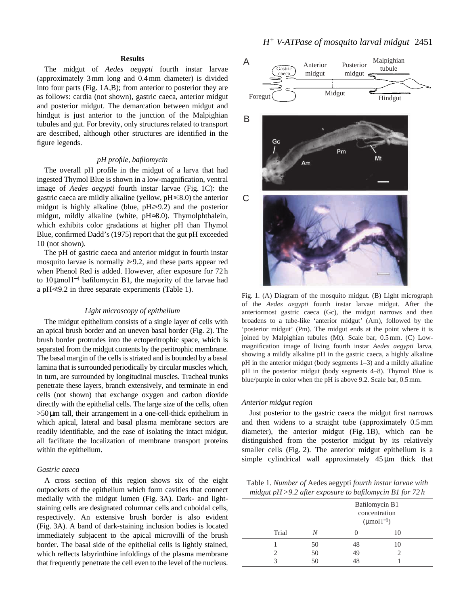# **Results**

The midgut of *Aedes aegypti* fourth instar larvae (approximately 3 mm long and 0.4 mm diameter) is divided into four parts (Fig. 1A,B); from anterior to posterior they are as follows: cardia (not shown), gastric caeca, anterior midgut and posterior midgut. The demarcation between midgut and hindgut is just anterior to the junction of the Malpighian tubules and gut. For brevity, only structures related to transport are described, although other structures are identified in the figure legends.

#### *pH profile, bafilomycin*

The overall pH profile in the midgut of a larva that had ingested Thymol Blue is shown in a low-magnification, ventral image of *Aedes aegypti* fourth instar larvae (Fig. 1C): the gastric caeca are mildly alkaline (yellow,  $pH \le 8.0$ ) the anterior midgut is highly alkaline (blue,  $pH \ge 9.2$ ) and the posterior midgut, mildly alkaline (white, pH≈8.0). Thymolphthalein, which exhibits color gradations at higher pH than Thymol Blue, confirmed Dadd's (1975) report that the gut pH exceeded 10 (not shown).

The pH of gastric caeca and anterior midgut in fourth instar mosquito larvae is normally  $\geq 9.2$ , and these parts appear red when Phenol Red is added. However, after exposure for 72 h to 10 µmol l−<sup>1</sup> bafilomycin B1, the majority of the larvae had a pH $\leq$ 9.2 in three separate experiments (Table 1).

#### *Light microscopy of epithelium*

The midgut epithelium consists of a single layer of cells with an apical brush border and an uneven basal border (Fig. 2). The brush border protrudes into the ectoperitrophic space, which is separated from the midgut contents by the peritrophic membrane. The basal margin of the cells is striated and is bounded by a basal lamina that is surrounded periodically by circular muscles which, in turn, are surrounded by longitudinal muscles. Tracheal trunks penetrate these layers, branch extensively, and terminate in end cells (not shown) that exchange oxygen and carbon dioxide directly with the epithelial cells. The large size of the cells, often >50µm tall, their arrangement in a one-cell-thick epithelium in which apical, lateral and basal plasma membrane sectors are readily identifiable, and the ease of isolating the intact midgut, all facilitate the localization of membrane transport proteins within the epithelium.

#### *Gastric caeca*

A cross section of this region shows six of the eight outpockets of the epithelium which form cavities that connect medially with the midgut lumen (Fig. 3A). Dark- and lightstaining cells are designated columnar cells and cuboidal cells, respectively. An extensive brush border is also evident (Fig. 3A). A band of dark-staining inclusion bodies is located immediately subjacent to the apical microvilli of the brush border. The basal side of the epithelial cells is lightly stained, which reflects labyrinthine infoldings of the plasma membrane that frequently penetrate the cell even to the level of the nucleus.



Fig. 1. (A) Diagram of the mosquito midgut. (B) Light micrograph of the *Aedes aegypti* fourth instar larvae midgut. After the anteriormost gastric caeca (Gc), the midgut narrows and then broadens to a tube-like 'anterior midgut' (Am), followed by the 'posterior midgut' (Pm). The midgut ends at the point where it is joined by Malpighian tubules (Mt). Scale bar, 0.5 mm. (C) Lowmagnification image of living fourth instar *Aedes aegypti* larva, showing a mildly alkaline pH in the gastric caeca, a highly alkaline pH in the anterior midgut (body segments 1–3) and a mildly alkaline pH in the posterior midgut (body segments 4–8). Thymol Blue is blue/purple in color when the pH is above 9.2. Scale bar, 0.5 mm.

#### *Anterior midgut region*

Just posterior to the gastric caeca the midgut first narrows and then widens to a straight tube (approximately 0.5 mm diameter), the anterior midgut (Fig. 1B), which can be distinguished from the posterior midgut by its relatively smaller cells (Fig. 2). The anterior midgut epithelium is a simple cylindrical wall approximately  $45 \mu m$  thick that

Table 1. *Number of* Aedes aegypti *fourth instar larvae with midgut pH >9.2 after exposure to bafilomycin B1 for 72 h*

| Trial |    | Bafilomycin B1<br>concentration<br>$(\mu$ mol $l^{-1})$ |    |
|-------|----|---------------------------------------------------------|----|
|       | N  |                                                         | 10 |
|       | 50 | 48                                                      | 10 |
|       | 50 | 49                                                      |    |
| っ     | 50 | 48                                                      |    |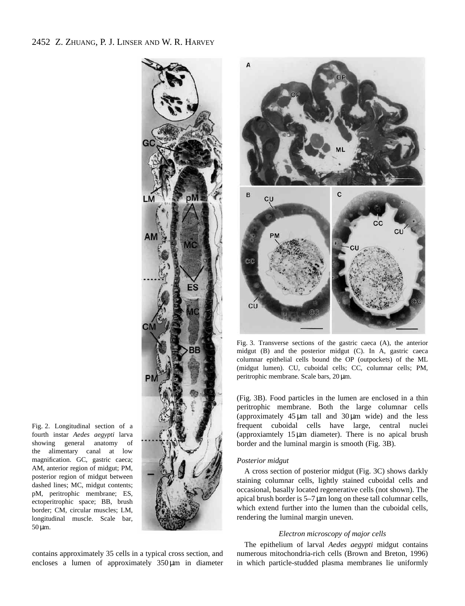







Fig. 3. Transverse sections of the gastric caeca (A), the anterior midgut (B) and the posterior midgut (C). In A, gastric caeca columnar epithelial cells bound the OP (outpockets) of the ML (midgut lumen). CU, cuboidal cells; CC, columnar cells; PM, peritrophic membrane. Scale bars, 20 µm.

(Fig. 3B). Food particles in the lumen are enclosed in a thin peritrophic membrane. Both the large columnar cells (approximately  $45 \mu m$  tall and  $30 \mu m$  wide) and the less frequent cuboidal cells have large, central nuclei (approxiamtely 15 µm diameter). There is no apical brush border and the luminal margin is smooth (Fig. 3B).

### *Posterior midgut*

A cross section of posterior midgut (Fig. 3C) shows darkly staining columnar cells, lightly stained cuboidal cells and occasional, basally located regenerative cells (not shown). The apical brush border is 5–7 µm long on these tall columnar cells, which extend further into the lumen than the cuboidal cells, rendering the luminal margin uneven.

# *Electron microscopy of major cells*

The epithelium of larval *Aedes aegypti* midgut contains numerous mitochondria-rich cells (Brown and Breton, 1996) in which particle-studded plasma membranes lie uniformly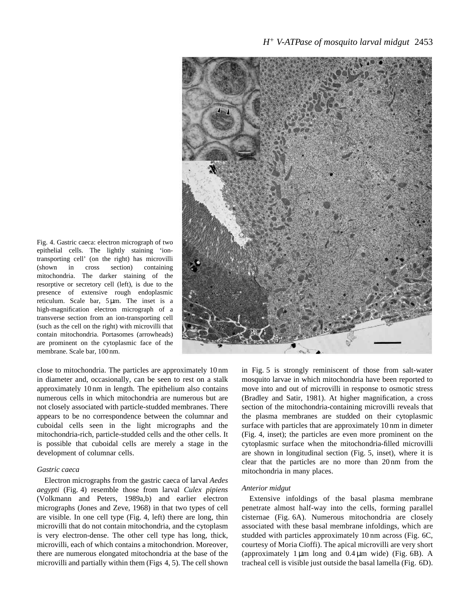

Fig. 4. Gastric caeca: electron micrograph of two epithelial cells. The lightly staining 'iontransporting cell' (on the right) has microvilli (shown in cross section) containing mitochondria. The darker staining of the resorptive or secretory cell (left), is due to the presence of extensive rough endoplasmic reticulum. Scale bar, 5 µm. The inset is a high-magnification electron micrograph of a transverse section from an ion-transporting cell (such as the cell on the right) with microvilli that contain mitochondria. Portasomes (arrowheads) are prominent on the cytoplasmic face of the membrane. Scale bar, 100 nm.

close to mitochondria. The particles are approximately 10 nm in diameter and, occasionally, can be seen to rest on a stalk approximately 10 nm in length. The epithelium also contains numerous cells in which mitochondria are numerous but are not closely associated with particle-studded membranes. There appears to be no correspondence between the columnar and cuboidal cells seen in the light micrographs and the mitochondria-rich, particle-studded cells and the other cells. It is possible that cuboidal cells are merely a stage in the development of columnar cells.

#### *Gastric caeca*

Electron micrographs from the gastric caeca of larval *Aedes aegypti* (Fig. 4) resemble those from larval *Culex pipiens* (Volkmann and Peters, 1989a,b) and earlier electron micrographs (Jones and Zeve, 1968) in that two types of cell are visible. In one cell type (Fig. 4, left) there are long, thin microvilli that do not contain mitochondria, and the cytoplasm is very electron-dense. The other cell type has long, thick, microvilli, each of which contains a mitochondrion. Moreover, there are numerous elongated mitochondria at the base of the microvilli and partially within them (Figs 4, 5). The cell shown

in Fig. 5 is strongly reminiscent of those from salt-water mosquito larvae in which mitochondria have been reported to move into and out of microvilli in response to osmotic stress (Bradley and Satir, 1981). At higher magnification, a cross section of the mitochondria-containing microvilli reveals that the plasma membranes are studded on their cytoplasmic surface with particles that are approximately 10 nm in dimeter (Fig. 4, inset); the particles are even more prominent on the cytoplasmic surface when the mitochondria-filled microvilli are shown in longitudinal section (Fig. 5, inset), where it is clear that the particles are no more than 20 nm from the mitochondria in many places.

#### *Anterior midgut*

Extensive infoldings of the basal plasma membrane penetrate almost half-way into the cells, forming parallel cisternae (Fig. 6A). Numerous mitochondria are closely associated with these basal membrane infoldings, which are studded with particles approximately 10 nm across (Fig. 6C, courtesy of Moria Cioffi). The apical microvilli are very short (approximately  $1 \mu m$  long and  $0.4 \mu m$  wide) (Fig. 6B). A tracheal cell is visible just outside the basal lamella (Fig. 6D).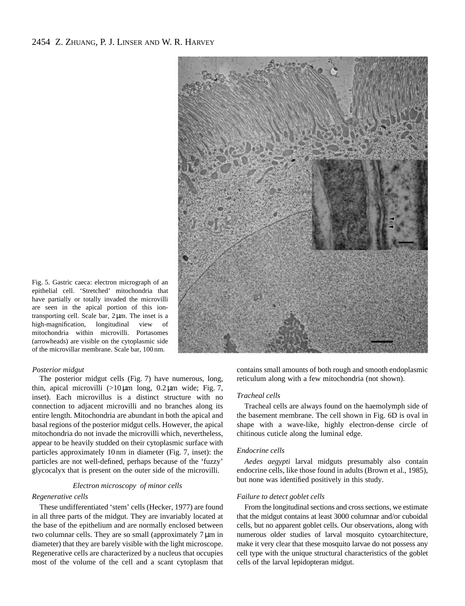

Fig. 5. Gastric caeca: electron micrograph of an epithelial cell. 'Stretched' mitochondria that have partially or totally invaded the microvilli are seen in the apical portion of this iontransporting cell. Scale bar, 2 µm. The inset is a high-magnification, longitudinal view of mitochondria within microvilli. Portasomes (arrowheads) are visible on the cytoplasmic side of the microvillar membrane. Scale bar, 100 nm.

### *Posterior midgut*

The posterior midgut cells (Fig. 7) have numerous, long, thin, apical microvilli  $(>10 \,\mu m)$  long,  $0.2 \,\mu m$  wide; Fig. 7, inset). Each microvillus is a distinct structure with no connection to adjacent microvilli and no branches along its entire length. Mitochondria are abundant in both the apical and basal regions of the posterior midgut cells. However, the apical mitochondria do not invade the microvilli which, nevertheless, appear to be heavily studded on their cytoplasmic surface with particles approximately 10 nm in diameter (Fig. 7, inset): the particles are not well-defined, perhaps because of the 'fuzzy' glycocalyx that is present on the outer side of the microvilli.

### *Electron microscopy of minor cells*

### *Regenerative cells*

These undifferentiated 'stem' cells (Hecker, 1977) are found in all three parts of the midgut. They are invariably located at the base of the epithelium and are normally enclosed between two columnar cells. They are so small (approximately  $7 \mu m$  in diameter) that they are barely visible with the light microscope. Regenerative cells are characterized by a nucleus that occupies most of the volume of the cell and a scant cytoplasm that

contains small amounts of both rough and smooth endoplasmic reticulum along with a few mitochondria (not shown).

#### *Tracheal cells*

Tracheal cells are always found on the haemolymph side of the basement membrane. The cell shown in Fig. 6D is oval in shape with a wave-like, highly electron-dense circle of chitinous cuticle along the luminal edge.

#### *Endocrine cells*

*Aedes aegypti* larval midguts presumably also contain endocrine cells, like those found in adults (Brown et al., 1985), but none was identified positively in this study.

### *Failure to detect goblet cells*

From the longitudinal sections and cross sections, we estimate that the midgut contains at least 3000 columnar and/or cuboidal cells, but no apparent goblet cells. Our observations, along with numerous older studies of larval mosquito cytoarchitecture, make it very clear that these mosquito larvae do not possess any cell type with the unique structural characteristics of the goblet cells of the larval lepidopteran midgut.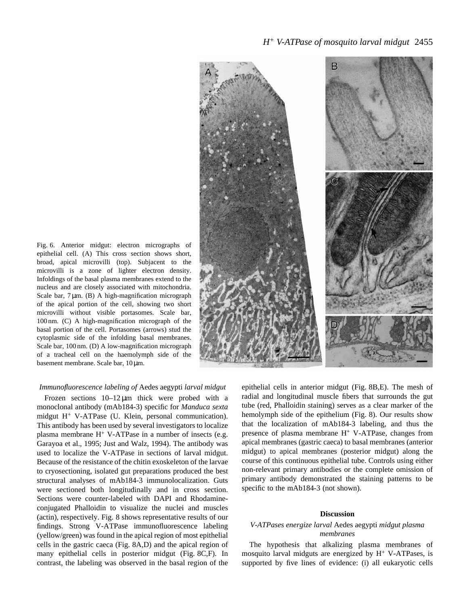

Fig. 6. Anterior midgut: electron micrographs of epithelial cell. (A) This cross section shows short, broad, apical microvilli (top). Subjacent to the microvilli is a zone of lighter electron density. Infoldings of the basal plasma membranes extend to the nucleus and are closely associated with mitochondria. Scale bar, 7  $\mu$ m. (B) A high-magnification micrograph of the apical portion of the cell, showing two short microvilli without visible portasomes. Scale bar, 100 nm. (C) A high-magnification micrograph of the basal portion of the cell. Portasomes (arrows) stud the cytoplasmic side of the infolding basal membranes. Scale bar, 100 nm. (D) A low-magnification micrograph of a tracheal cell on the haemolymph side of the basement membrane. Scale bar, 10 µm.

# *Immunofluorescence labeling of* Aedes aegypti *larval midgut*

Frozen sections  $10-12 \mu m$  thick were probed with a monoclonal antibody (mAb184-3) specific for *Manduca sexta* midgut H+ V-ATPase (U. Klein, personal communication). This antibody has been used by several investigators to localize plasma membrane  $H^+$  V-ATPase in a number of insects (e.g. Garayoa et al., 1995; Just and Walz, 1994). The antibody was used to localize the V-ATPase in sections of larval midgut. Because of the resistance of the chitin exoskeleton of the larvae to cryosectioning, isolated gut preparations produced the best structural analyses of mAb184-3 immunolocalization. Guts were sectioned both longitudinally and in cross section. Sections were counter-labeled with DAPI and Rhodamineconjugated Phalloidin to visualize the nuclei and muscles (actin), respectively. Fig. 8 shows representative results of our findings. Strong V-ATPase immunofluorescence labeling (yellow/green) was found in the apical region of most epithelial cells in the gastric caeca (Fig. 8A,D) and the apical region of many epithelial cells in posterior midgut (Fig. 8C,F). In contrast, the labeling was observed in the basal region of the

epithelial cells in anterior midgut (Fig. 8B,E). The mesh of radial and longitudinal muscle fibers that surrounds the gut tube (red, Phalloidin staining) serves as a clear marker of the hemolymph side of the epithelium (Fig. 8). Our results show that the localization of mAb184-3 labeling, and thus the presence of plasma membrane  $H^+$  V-ATPase, changes from apical membranes (gastric caeca) to basal membranes (anterior midgut) to apical membranes (posterior midgut) along the course of this continuous epithelial tube. Controls using either non-relevant primary antibodies or the complete omission of primary antibody demonstrated the staining patterns to be specific to the mAb184-3 (not shown).

#### **Discussion**

### *V-ATPases energize larval* Aedes aegypti *midgut plasma membranes*

The hypothesis that alkalizing plasma membranes of mosquito larval midguts are energized by  $H^+$  V-ATPases, is supported by five lines of evidence: (i) all eukaryotic cells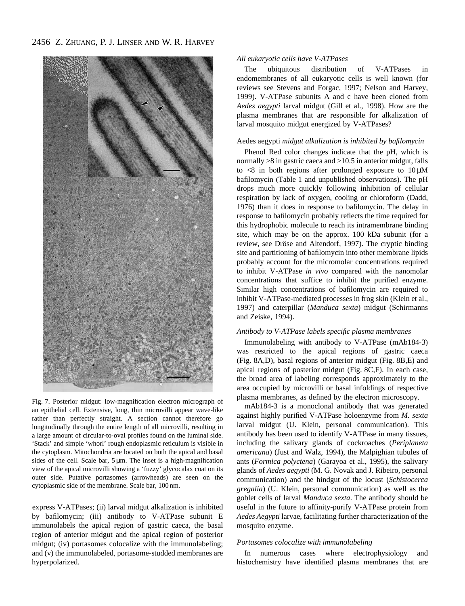2456 Z. ZHUANG, P. J. LINSER AND W. R. HARVEY



Fig. 7. Posterior midgut: low-magnification electron micrograph of an epithelial cell. Extensive, long, thin microvilli appear wave-like rather than perfectly straight. A section cannot therefore go longitudinally through the entire length of all microvilli, resulting in a large amount of circular-to-oval profiles found on the luminal side. 'Stack' and simple 'whorl' rough endoplasmic reticulum is visible in the cytoplasm. Mitochondria are located on both the apical and basal sides of the cell. Scale bar,  $5 \mu m$ . The inset is a high-magnification view of the apical microvilli showing a 'fuzzy' glycocalax coat on its outer side. Putative portasomes (arrowheads) are seen on the cytoplasmic side of the membrane. Scale bar, 100 nm.

express V-ATPases; (ii) larval midgut alkalization is inhibited by bafilomycin; (iii) antibody to V-ATPase subunit E immunolabels the apical region of gastric caeca, the basal region of anterior midgut and the apical region of posterior midgut; (iv) portasomes colocalize with the immunolabeling; and (v) the immunolabeled, portasome-studded membranes are hyperpolarized.

### *All eukaryotic cells have V-ATPases*

The ubiquitous distribution of V-ATPases in endomembranes of all eukaryotic cells is well known (for reviews see Stevens and Forgac, 1997; Nelson and Harvey, 1999). V-ATPase subunits A and c have been cloned from *Aedes aegypti* larval midgut (Gill et al., 1998). How are the plasma membranes that are responsible for alkalization of larval mosquito midgut energized by V-ATPases?

### Aedes aegypti *midgut alkalization is inhibited by bafilomycin*

Phenol Red color changes indicate that the pH, which is normally  $>8$  in gastric caeca and  $>10.5$  in anterior midgut, falls to  $\langle 8 \rangle$  in both regions after prolonged exposure to  $10 \mu M$ bafilomycin (Table 1 and unpublished observations). The pH drops much more quickly following inhibition of cellular respiration by lack of oxygen, cooling or chloroform (Dadd, 1976) than it does in response to bafilomycin. The delay in response to bafilomycin probably reflects the time required for this hydrophobic molecule to reach its intramembrane binding site, which may be on the approx. 100 kDa subunit (for a review, see Dröse and Altendorf, 1997). The cryptic binding site and partitioning of bafilomycin into other membrane lipids probably account for the micromolar concentrations required to inhibit V-ATPase *in vivo* compared with the nanomolar concentrations that suffice to inhibit the purified enzyme. Similar high concentrations of bafilomycin are required to inhibit V-ATPase-mediated processes in frog skin (Klein et al., 1997) and caterpillar (*Manduca sexta*) midgut (Schirmanns and Zeiske, 1994).

### *Antibody to V-ATPase labels specific plasma membranes*

Immunolabeling with antibody to V-ATPase (mAb184-3) was restricted to the apical regions of gastric caeca (Fig. 8A,D), basal regions of anterior midgut (Fig. 8B,E) and apical regions of posterior midgut (Fig. 8C,F). In each case, the broad area of labeling corresponds approximately to the area occupied by microvilli or basal infoldings of respective plasma membranes, as defined by the electron microscopy.

mAb184-3 is a monoclonal antibody that was generated against highly purified V-ATPase holoenzyme from *M. sexta* larval midgut (U. Klein, personal communication). This antibody has been used to identify V-ATPase in many tissues, including the salivary glands of cockroaches (*Periplaneta americana*) (Just and Walz, 1994), the Malpighian tubules of ants (*Formica polyctena*) (Garayoa et al., 1995), the salivary glands of *Aedes aegypti* (M. G. Novak and J. Ribeiro, personal communication) and the hindgut of the locust (*Schistocerca gregalia*) (U. Klein, personal communication) as well as the goblet cells of larval *Manduca sexta*. The antibody should be useful in the future to affinity-purify V-ATPase protein from *Aedes Aegypti* larvae, facilitating further characterization of the mosquito enzyme.

#### *Portasomes colocalize with immunolabeling*

In numerous cases where electrophysiology and histochemistry have identified plasma membranes that are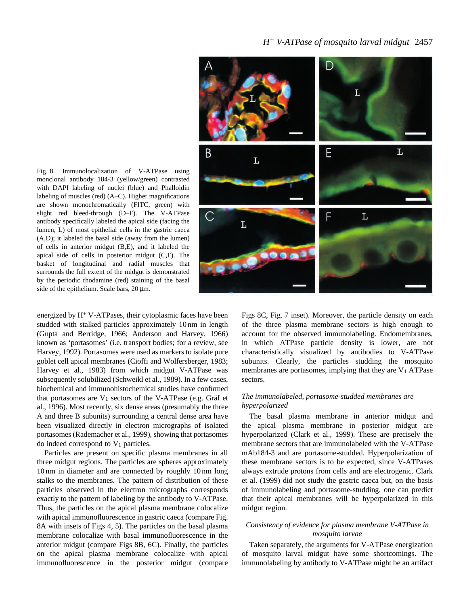# *H* 2457 *<sup>+</sup> V-ATPase of mosquito larval midgut*



Fig. 8. Immunolocalization of V-ATPase using monclonal antibody 184-3 (yellow/green) contrasted with DAPI labeling of nuclei (blue) and Phalloidin labeling of muscles (red) (A–C). Higher magnifications are shown monochromatically (FITC, green) with slight red bleed-through (D–F). The V-ATPase antibody specifically labeled the apical side (facing the lumen, L) of most epithelial cells in the gastric caeca (A,D); it labeled the basal side (away from the lumen) of cells in anterior midgut (B,E), and it labeled the apical side of cells in posterior midgut (C,F). The basket of longitudinal and radial muscles that surrounds the full extent of the midgut is demonstrated by the periodic rhodamine (red) staining of the basal side of the epithelium. Scale bars,  $20 \text{ µm}$ .

energized by H+ V-ATPases, their cytoplasmic faces have been studded with stalked particles approximately 10 nm in length (Gupta and Berridge, 1966; Anderson and Harvey, 1966) known as 'portasomes' (i.e. transport bodies; for a review, see Harvey, 1992). Portasomes were used as markers to isolate pure goblet cell apical membranes (Cioffi and Wolfersberger, 1983; Harvey et al., 1983) from which midgut V-ATPase was subsequently solubilized (Schweikl et al., 1989). In a few cases, biochemical and immunohistochemical studies have confirmed that portasomes are  $V_1$  sectors of the V-ATPase (e.g. Gräf et al., 1996). Most recently, six dense areas (presumably the three A and three B subunits) surrounding a central dense area have been visualized directly in electron micrographs of isolated portasomes (Rademacher et al., 1999), showing that portasomes do indeed correspond to  $V_1$  particles.

Particles are present on specific plasma membranes in all three midgut regions. The particles are spheres approximately 10 nm in diameter and are connected by roughly 10 nm long stalks to the membranes. The pattern of distribution of these particles observed in the electron micrographs corresponds exactly to the pattern of labeling by the antibody to V-ATPase. Thus, the particles on the apical plasma membrane colocalize with apical immunofluorescence in gastric caeca (compare Fig. 8A with insets of Figs 4, 5). The particles on the basal plasma membrane colocalize with basal immunofluorescence in the anterior midgut (compare Figs 8B, 6C). Finally, the particles on the apical plasma membrane colocalize with apical immunofluorescence in the posterior midgut (compare Figs 8C, Fig. 7 inset). Moreover, the particle density on each of the three plasma membrane sectors is high enough to account for the observed immunolabeling. Endomembranes, in which ATPase particle density is lower, are not characteristically visualized by antibodies to V-ATPase subunits. Clearly, the particles studding the mosquito membranes are portasomes, implying that they are  $V_1$  ATPase sectors.

# *The immunolabeled, portasome-studded membranes are hyperpolarized*

The basal plasma membrane in anterior midgut and the apical plasma membrane in posterior midgut are hyperpolarized (Clark et al., 1999). These are precisely the membrane sectors that are immunolabeled with the V-ATPase mAb184-3 and are portasome-studded. Hyperpolarization of these membrane sectors is to be expected, since V-ATPases always extrude protons from cells and are electrogenic. Clark et al. (1999) did not study the gastric caeca but, on the basis of immunolabeling and portasome-studding, one can predict that their apical membranes will be hyperpolarized in this midgut region.

## *Consistency of evidence for plasma membrane V-ATPase in mosquito larvae*

Taken separately, the arguments for V-ATPase energization of mosquito larval midgut have some shortcomings. The immunolabeling by antibody to V-ATPase might be an artifact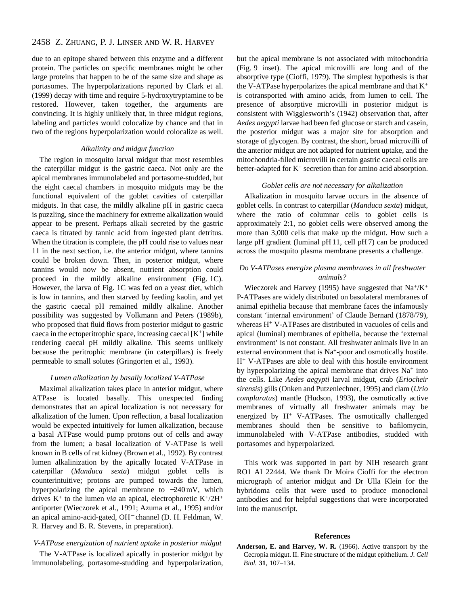# 2458 Z. ZHUANG, P. J. LINSER AND W. R. HARVEY

due to an epitope shared between this enzyme and a different protein. The particles on specific membranes might be other large proteins that happen to be of the same size and shape as portasomes. The hyperpolarizations reported by Clark et al. (1999) decay with time and require 5-hydroxytryptamine to be restored. However, taken together, the arguments are convincing. It is highly unlikely that, in three midgut regions, labeling and particles would colocalize by chance and that in two of the regions hyperpolarization would colocalize as well.

### *Alkalinity and midgut function*

The region in mosquito larval midgut that most resembles the caterpillar midgut is the gastric caeca. Not only are the apical membranes immunolabeled and portasome-studded, but the eight caecal chambers in mosquito midguts may be the functional equivalent of the goblet cavities of caterpillar midguts. In that case, the mildly alkaline pH in gastric caeca is puzzling, since the machinery for extreme alkalization would appear to be present. Perhaps alkali secreted by the gastric caeca is titrated by tannic acid from ingested plant detritus. When the titration is complete, the pH could rise to values near 11 in the next section, i.e. the anterior midgut, where tannins could be broken down. Then, in posterior midgut, where tannins would now be absent, nutrient absorption could proceed in the mildly alkaline environment (Fig. 1C). However, the larva of Fig. 1C was fed on a yeast diet, which is low in tannins, and then starved by feeding kaolin, and yet the gastric caecal pH remained mildly alkaline. Another possibility was suggested by Volkmann and Peters (1989b), who proposed that fluid flows from posterior midgut to gastric caeca in the ectoperitrophic space, increasing caecal  $[K^+]$  while rendering caecal pH mildly alkaline. This seems unlikely because the peritrophic membrane (in caterpillars) is freely permeable to small solutes (Gringorten et al., 1993).

#### *Lumen alkalization by basally localized V-ATPase*

Maximal alkalization takes place in anterior midgut, where ATPase is located basally. This unexpected finding demonstrates that an apical localization is not necessary for alkalization of the lumen. Upon reflection, a basal localization would be expected intuitively for lumen alkalization, because a basal ATPase would pump protons out of cells and away from the lumen; a basal localization of V-ATPase is well known in B cells of rat kidney (Brown et al., 1992). By contrast lumen alkalinization by the apically located V-ATPase in caterpillar (*Manduca sexta*) midgut goblet cells is counterintuitive; protons are pumped towards the lumen, hyperpolarizing the apical membrane to −240 mV, which drives  $K^+$  to the lumen *via* an apical, electrophoretic  $K^+/2H^+$ antiporter (Wieczorek et al., 1991; Azuma et al., 1995) and/or an apical amino-acid-gated, OH<sup>−</sup> channel (D. H. Feldman, W. R. Harvey and B. R. Stevens, in preparation).

# *V-ATPase energization of nutrient uptake in posterior midgut*

The V-ATPase is localized apically in posterior midgut by immunolabeling, portasome-studding and hyperpolarization, but the apical membrane is not associated with mitochondria (Fig. 9 inset). The apical microvilli are long and of the absorptive type (Cioffi, 1979). The simplest hypothesis is that the V-ATPase hyperpolarizes the apical membrane and that  $K^+$ is cotransported with amino acids, from lumen to cell. The presence of absorptive microvilli in posterior midgut is consistent with Wigglesworth's (1942) observation that, after *Aedes aegypti* larvae had been fed glucose or starch and casein, the posterior midgut was a major site for absorption and storage of glycogen. By contrast, the short, broad microvilli of the anterior midgut are not adapted for nutrient uptake, and the mitochondria-filled microvilli in certain gastric caecal cells are better-adapted for  $K^+$  secretion than for amino acid absorption.

#### *Goblet cells are not necessary for alkalization*

Alkalization in mosquito larvae occurs in the absence of goblet cells. In contrast to caterpillar (*Manduca sexta*) midgut, where the ratio of columnar cells to goblet cells is approximately 2:1, no goblet cells were observed among the more than 3,000 cells that make up the midgut. How such a large pH gradient (luminal pH 11, cell pH 7) can be produced across the mosquito plasma membrane presents a challenge.

### *Do V-ATPases energize plasma membranes in all freshwater animals?*

Wieczorek and Harvey (1995) have suggested that  $Na^{+}/K^{+}$ P-ATPases are widely distributed on basolateral membranes of animal epithelia because that membrane faces the infamously constant 'internal environment' of Claude Bernard (1878/79), whereas H<sup>+</sup> V-ATPases are distributed in vacuoles of cells and apical (luminal) membranes of epithelia, because the 'external environment' is not constant. All freshwater animals live in an external environment that is Na<sup>+</sup>-poor and osmotically hostile. H+ V-ATPases are able to deal with this hostile environment by hyperpolarizing the apical membrane that drives  $Na<sup>+</sup>$  into the cells. Like *Aedes aegypti* larval midgut, crab (*Eriocheir sirensis*) gills (Onken and Putzenlechner, 1995) and clam (*Urio complaratus*) mantle (Hudson, 1993), the osmotically active membranes of virtually all freshwater animals may be energized by H<sup>+</sup> V-ATPases. The osmotically challenged membranes should then be sensitive to bafilomycin, immunolabeled with V-ATPase antibodies, studded with portasomes and hyperpolarized.

This work was supported in part by NIH research grant RO1 AI 22444. We thank Dr Moira Cioffi for the electron micrograph of anterior midgut and Dr Ulla Klein for the hybridoma cells that were used to produce monoclonal antibodies and for helpful suggestions that were incorporated into the manuscript.

#### **References**

**Anderson, E. and Harvey, W. R.** (1966). Active transport by the Cecropia midgut. II. Fine structure of the midgut epithelium. *J. Cell Biol.* **31**, 107–134.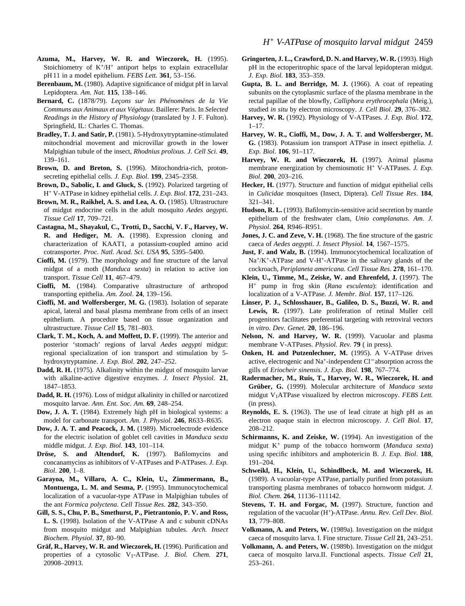- **Azuma, M., Harvey, W. R. and Wieczorek, H.** (1995). Stoichiometry of  $K^+/H^+$  antiport helps to explain extracellular pH 11 in a model epithelium. *FEBS Lett.* **361**, 53–156.
- **Berenbaum, M.** (1980). Adaptive significance of midgut pH in larval Lepidoptera. *Am. Nat.* **115**, 138–146.
- **Bernard, C.** (1878/79). *Leçons sur les Phénomènes de la Vie Communs aux Animaux et aux Végétaux*. Baillere: Paris. In *Selected Readings in the History of Physiology* (translated by J. F. Fulton). Springfield, IL: Charles C. Thomas.
- **Bradley, T. J. and Satir, P.** (1981). 5-Hydroxytryptamine-stimulated mitochondrial movement and microvillar growth in the lower Malpighian tubule of the insect, *Rhodnius prolixus. J. Cell Sci.* **49**, 139–161.
- Brown, D. and Breton, S. (1996). Mitochondria-rich, protonsecreting epithelial cells. *J. Exp. Biol*. **199**, 2345–2358.
- **Brown, D., Sabolic, I. and Gluck, S.** (1992). Polarized targeting of H<sup>+</sup> V-ATPase in kidney epithelial cells. *J. Exp. Biol*. **172**, 231–243.
- **Brown, M. R., Raikhel, A. S. and Lea, A. O.** (1985). Ultrastructure of midgut endocrine cells in the adult mosquito *Aedes aegypti. Tissue Cell* **17**, 709–721.
- **Castagna, M., Shayakul, C., Trotti, D., Sacchi, V. F., Harvey, W. R. and Hediger, M. A.** (1998). Expression cloning and characterization of KAAT1, a potassium-coupled amino acid cotransporter. *Proc. Natl. Acad. Sci. USA* **95**, 5395–5400.
- **Cioffi, M.** (1979). The morphology and fine structure of the larval midgut of a moth (*Manduca sexta*) in relation to active ion transport. *Tissue Cell* **11**, 467–479.
- **Cioffi, M.** (1984). Comparative ultrastructure of arthropod transporting epithelia. *Am. Zool*. **24**, 139–156.
- **Cioffi, M. and Wolfersberger, M. G.** (1983). Isolation of separate apical, lateral and basal plasma membrane from cells of an insect epithelium. A procedure based on tissue organization and ultrastructure. *Tissue Cell* **15**, 781–803.
- **Clark, T. M., Koch, A. and Moffett, D. F.** (1999). The anterior and posterior 'stomach' regions of larval *Aedes aegypti* midgut: regional specialization of ion transport and stimulation by 5 hydroxytryptamine. *J. Exp. Biol*. **202**, 247–252.
- **Dadd, R. H.** (1975). Alkalinity within the midgut of mosquito larvae with alkaline-active digestive enzymes. *J. Insect Physiol*. **21**, 1847–1853.
- **Dadd, R. H.** (1976). Loss of midgut alkalinity in chilled or narcotized mosquito larvae. *Ann. Ent. Soc. Am.* **69**, 248–254.
- **Dow, J. A. T.** (1984). Extremely high pH in biological systems: a model for carbonate transport. *Am. J. Physiol*. **246**, R633–R635.
- **Dow, J. A. T. and Peacock, J. M.** (1989). Microelectrode evidence for the electric isolation of goblet cell cavities in *Manduca sexta* middle midgut. *J. Exp. Biol.* **143**, 101–114.
- **Dröse, S. and Altendorf, K.** (1997). Bafilomycins and concanamycins as inhibitors of V-ATPases and P-ATPases. *J. Exp. Biol*. **200**, 1–8.
- **Garayoa, M., Villaro, A. C., Klein, U., Zimmermann, B., Montuenga, L. M. and Sesma, P.** (1995). Immunocytochemical localization of a vacuolar-type ATPase in Malpighian tubules of the ant *Formica polyctena*. *Cell Tissue Res*. **282**, 343–350.
- **Gill, S. S., Chu, P. B., Smethurst, P., Pietrantonio, P. V. and Ross, L. S.** (1998). Isolation of the V-ATPase A and c subunit cDNAs from mosquito midgut and Malpighian tubules. *Arch. Insect Biochem. Physiol*. **37**, 80–90.
- **Gräf, R., Harvey, W. R. and Wieczorek, H.** (1996). Purification and properties of a cytosolic V1-ATPase. *J. Biol. Chem.* **271**, 20908–20913.
- **Gringorten, J. L., Crawford, D. N. and Harvey, W. R.** (1993). High pH in the ectoperitrophic space of the larval lepidopteran midgut. *J. Exp. Biol.* **183**, 353–359.
- **Gupta, B. L. and Berridge, M. J.** (1966). A coat of repeating subunits on the cytoplasmic surface of the plasma membrane in the rectal papillae of the blowfly, *Calliphora erythrocephala* (Meig.), studied *in situ* by electron microscopy. *J. Cell Biol*. **29**, 376–382.
- **Harvey, W. R.** (1992). Physiology of V-ATPases. *J. Exp. Biol*. **172**,  $1 - 17$
- **Harvey, W. R., Cioffi, M., Dow, J. A. T. and Wolfersberger, M. G.** (1983). Potassium ion transport ATPase in insect epithelia. *J. Exp. Biol*. **106**, 91–117.
- **Harvey, W. R. and Wieczorek, H.** (1997). Animal plasma membrane energization by chemiosmotic H<sup>+</sup> V-ATPases. *J. Exp. Biol*. **200**, 203–216.
- **Hecker, H.** (1977). Structure and function of midgut epithelial cells in *Culicidae* mosquitoes (Insect, Diptera). *Cell Tissue Res*. **184**, 321–341.
- **Hudson, R. L.** (1993). Bafilomycin-sensitive acid secretion by mantle epithelium of the freshwater clam, *Unio complanatus*. *Am. J. Physiol*. **264**, R946–R951.
- **Jones, J. C. and Zeve, V. H.** (1968). The fine structure of the gastric caeca of *Aedes aegypti*. *J. Insect Physiol*. **14**, 1567–1575.
- **Just, F. and Walz, B.** (1994). Immunocytochemical localization of  $Na^{+}/K^{+}$ -ATPase and V-H<sup>+</sup>-ATPase in the salivary glands of the cockroach, *Periplaneta americana. Cell Tissue Res*. **278**, 161–170.
- **Klein, U., Timme, M., Zeiske, W. and Ehrenfeld, J.** (1997). The H<sup>+</sup> pump in frog skin (*Rana esculenta*): identification and localization of a V-ATPase. *J. Membr. Biol*. **157**, 117–126.
- **Linser, P. J., Schlosshauer, B., Galileo, D. S., Buzzi, W. R. and Lewis, R.** (1997). Late proliferation of retinal Muller cell progenitors facilitates preferential targeting with retroviral vectors *in vitro*. *Dev. Genet.* **20**, 186–196.
- **Nelson, N. and Harvey, W. R.** (1999). Vacuolar and plasma membrane V-ATPases. *Physiol. Rev.* **79** ( in press).
- **Onken, H. and Putzenlechner, M.** (1995). A V-ATPase drives active, electrogenic and Na+-independent Cl<sup>−</sup> absorption across the gills of *Eriocheir sinensis*. *J. Exp. Biol*. **198**, 767–774.
- **Radermacher, M., Ruis, T., Harvey, W. R., Wieczorek, H. and Grüber, G.** (1999). Molecular architecture of *Manduca sexta* midgut V1ATPase visualized by electron microscopy. *FEBS Lett.* (in press).
- **Reynolds, E. S.** (1963). The use of lead citrate at high pH as an electron opaque stain in electron microscopy. *J. Cell Biol*. **17**, 208–212.
- **Schirmanns, K. and Zeiske, W.** (1994). An investigation of the midgut K<sup>+</sup> pump of the tobacco hornworm (*Manduca sexta*) using specific inhibitors and amphotericin B. *J. Exp. Biol*. **188**, 191–204.
- **Schweikl, H., Klein, U., Schindlbeck, M. and Wieczorek, H.** (1989). A vacuolar-type ATPase, partially purified from potassium transporting plasma membranes of tobacco hornworm midgut. *J. Biol. Chem.* **264**, 11136–111142.
- **Stevens, T. H. and Forgac, M.** (1997). Structure, function and regulation of the vacuolar (H+)-ATPase. *Annu. Rev. Cell Dev. Biol*. **13**, 779–808.
- **Volkmann, A. and Peters, W.** (1989a). Investigation on the midgut caeca of mosquito larva. I. Fine structure. *Tissue Cell* **21**, 243–251.
- **Volkmann, A. and Peters, W.** (1989b). Investigation on the midgut caeca of mosquito larva.II. Functional aspects. *Tissue Cell* **21**, 253–261.